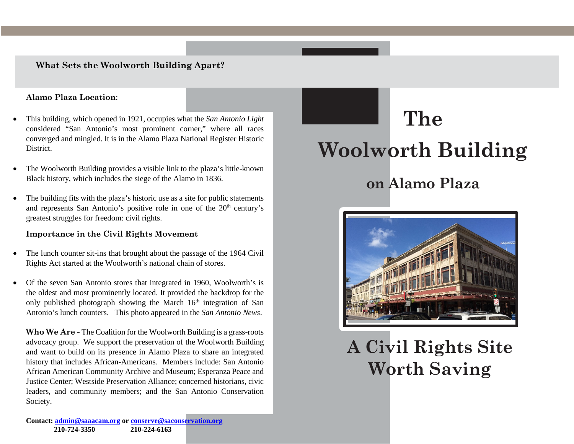#### **What Sets the Woolworth Building Apart?**

#### **Alamo Plaza Location**:

- This building, which opened in 1921, occupies what the *San Antonio Light* considered "San Antonio's most prominent corner," where all races converged and mingled. It is in the Alamo Plaza National Register Historic District.
- The Woolworth Building provides a visible link to the plaza's little-known Black history, which includes the siege of the Alamo in 1836.
- The building fits with the plaza's historic use as a site for public statements and represents San Antonio's positive role in one of the  $20<sup>th</sup>$  century's greatest struggles for freedom: civil rights.

#### **Importance in the Civil Rights Movement**

- The lunch counter sit-ins that brought about the passage of the 1964 Civil Rights Act started at the Woolworth's national chain of stores.
- Of the seven San Antonio stores that integrated in 1960, Woolworth's is the oldest and most prominently located. It provided the backdrop for the only published photograph showing the March 16<sup>th</sup> integration of San Antonio's lunch counters. This photo appeared in the *San Antonio News*.

**Who We Are -** The Coalition for the Woolworth Building is a grass-roots advocacy group. We support the preservation of the Woolworth Building and want to build on its presence in Alamo Plaza to share an integrated history that includes African-Americans. Members include: San Antonio African American Community Archive and Museum; Esperanza Peace and Justice Center; Westside Preservation Alliance; concerned historians, civic leaders, and community members; and the San Antonio Conservation Society.

# **The Woolworth Building**

## **on Alamo Plaza**



**A Civil Rights Site Worth Saving**